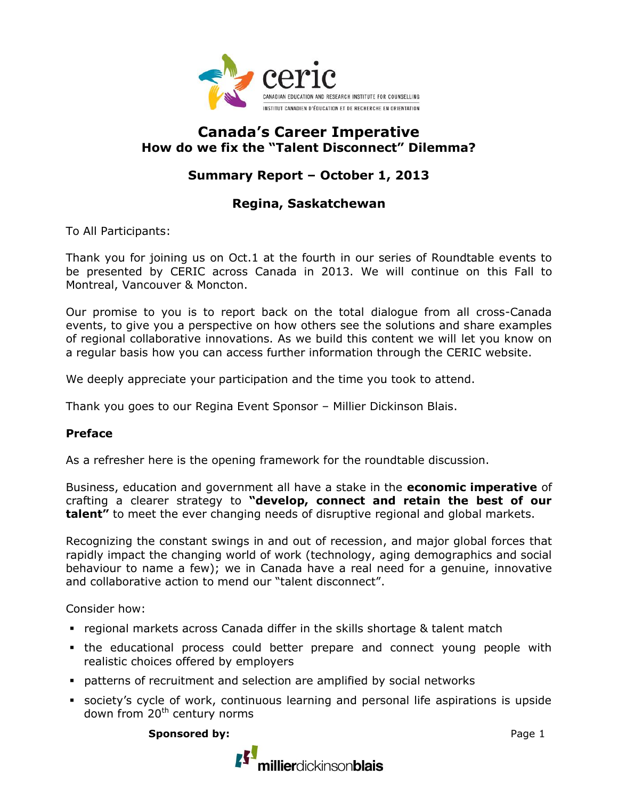

# **Canada's Career Imperative How do we fix the "Talent Disconnect" Dilemma?**

# **Summary Report – October 1, 2013**

## **Regina, Saskatchewan**

To All Participants:

Thank you for joining us on Oct.1 at the fourth in our series of Roundtable events to be presented by CERIC across Canada in 2013. We will continue on this Fall to Montreal, Vancouver & Moncton.

Our promise to you is to report back on the total dialogue from all cross-Canada events, to give you a perspective on how others see the solutions and share examples of regional collaborative innovations. As we build this content we will let you know on a regular basis how you can access further information through the CERIC website.

We deeply appreciate your participation and the time you took to attend.

Thank you goes to our Regina Event Sponsor – Millier Dickinson Blais.

### **Preface**

As a refresher here is the opening framework for the roundtable discussion.

Business, education and government all have a stake in the **economic imperative** of crafting a clearer strategy to **"develop, connect and retain the best of our talent"** to meet the ever changing needs of disruptive regional and global markets.

Recognizing the constant swings in and out of recession, and major global forces that rapidly impact the changing world of work (technology, aging demographics and social behaviour to name a few); we in Canada have a real need for a genuine, innovative and collaborative action to mend our "talent disconnect".

Consider how:

- regional markets across Canada differ in the skills shortage & talent match
- the educational process could better prepare and connect young people with realistic choices offered by employers
- patterns of recruitment and selection are amplified by social networks
- society's cycle of work, continuous learning and personal life aspirations is upside down from 20<sup>th</sup> century norms

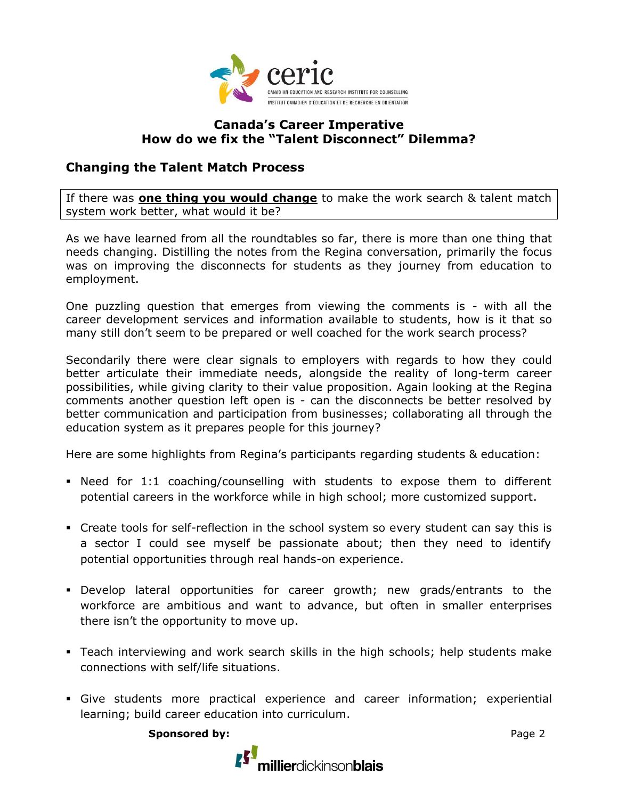

## **Canada's Career Imperative How do we fix the "Talent Disconnect" Dilemma?**

## **Changing the Talent Match Process**

If there was **one thing you would change** to make the work search & talent match system work better, what would it be?

As we have learned from all the roundtables so far, there is more than one thing that needs changing. Distilling the notes from the Regina conversation, primarily the focus was on improving the disconnects for students as they journey from education to employment.

One puzzling question that emerges from viewing the comments is - with all the career development services and information available to students, how is it that so many still don't seem to be prepared or well coached for the work search process?

Secondarily there were clear signals to employers with regards to how they could better articulate their immediate needs, alongside the reality of long-term career possibilities, while giving clarity to their value proposition. Again looking at the Regina comments another question left open is - can the disconnects be better resolved by better communication and participation from businesses; collaborating all through the education system as it prepares people for this journey?

Here are some highlights from Regina's participants regarding students & education:

- Need for 1:1 coaching/counselling with students to expose them to different potential careers in the workforce while in high school; more customized support.
- Create tools for self-reflection in the school system so every student can say this is a sector I could see myself be passionate about; then they need to identify potential opportunities through real hands-on experience.
- Develop lateral opportunities for career growth; new grads/entrants to the workforce are ambitious and want to advance, but often in smaller enterprises there isn't the opportunity to move up.
- Teach interviewing and work search skills in the high schools; help students make connections with self/life situations.
- Give students more practical experience and career information; experiential learning; build career education into curriculum.

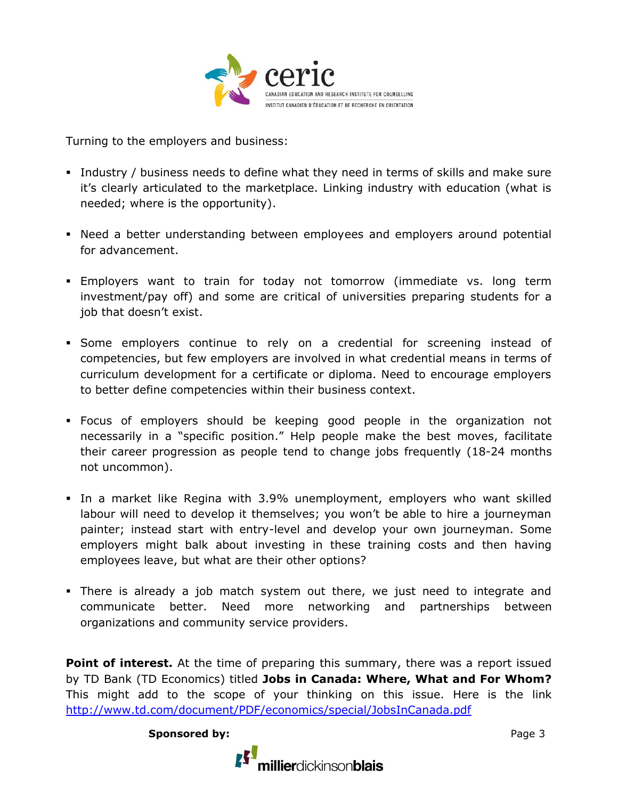

Turning to the employers and business:

- Industry / business needs to define what they need in terms of skills and make sure it's clearly articulated to the marketplace. Linking industry with education (what is needed; where is the opportunity).
- Need a better understanding between employees and employers around potential for advancement.
- Employers want to train for today not tomorrow (immediate vs. long term investment/pay off) and some are critical of universities preparing students for a job that doesn't exist.
- Some employers continue to rely on a credential for screening instead of competencies, but few employers are involved in what credential means in terms of curriculum development for a certificate or diploma. Need to encourage employers to better define competencies within their business context.
- Focus of employers should be keeping good people in the organization not necessarily in a "specific position." Help people make the best moves, facilitate their career progression as people tend to change jobs frequently (18-24 months not uncommon).
- In a market like Regina with 3.9% unemployment, employers who want skilled labour will need to develop it themselves; you won't be able to hire a journeyman painter; instead start with entry-level and develop your own journeyman. Some employers might balk about investing in these training costs and then having employees leave, but what are their other options?
- There is already a job match system out there, we just need to integrate and communicate better. Need more networking and partnerships between organizations and community service providers.

**Point of interest.** At the time of preparing this summary, there was a report issued by TD Bank (TD Economics) titled **Jobs in Canada: Where, What and For Whom?**  This might add to the scope of your thinking on this issue. Here is the link <http://www.td.com/document/PDF/economics/special/JobsInCanada.pdf>

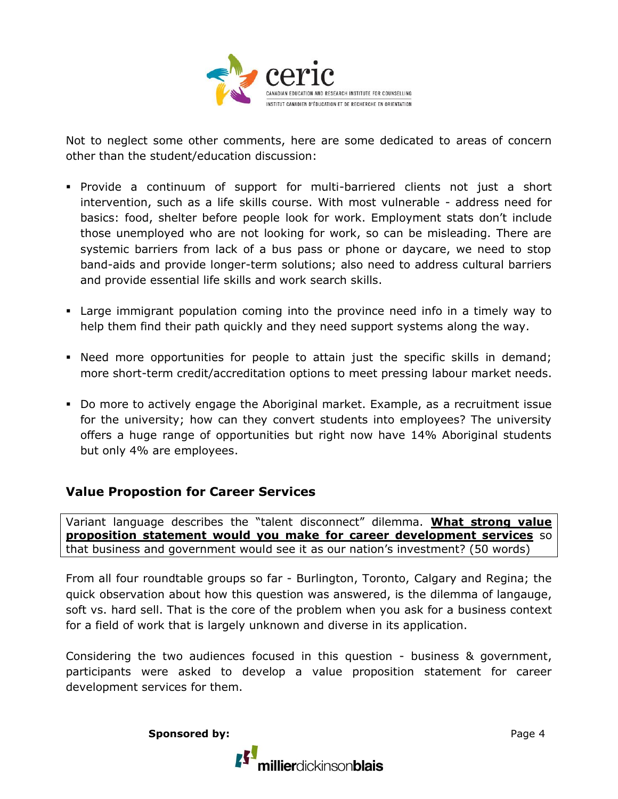

Not to neglect some other comments, here are some dedicated to areas of concern other than the student/education discussion:

- Provide a continuum of support for multi-barriered clients not just a short intervention, such as a life skills course. With most vulnerable - address need for basics: food, shelter before people look for work. Employment stats don't include those unemployed who are not looking for work, so can be misleading. There are systemic barriers from lack of a bus pass or phone or daycare, we need to stop band-aids and provide longer-term solutions; also need to address cultural barriers and provide essential life skills and work search skills.
- Large immigrant population coming into the province need info in a timely way to help them find their path quickly and they need support systems along the way.
- Need more opportunities for people to attain just the specific skills in demand; more short-term credit/accreditation options to meet pressing labour market needs.
- Do more to actively engage the Aboriginal market. Example, as a recruitment issue for the university; how can they convert students into employees? The university offers a huge range of opportunities but right now have 14% Aboriginal students but only 4% are employees.

### **Value Propostion for Career Services**

Variant language describes the "talent disconnect" dilemma. **What strong value proposition statement would you make for career development services** so that business and government would see it as our nation's investment? (50 words)

From all four roundtable groups so far - Burlington, Toronto, Calgary and Regina; the quick observation about how this question was answered, is the dilemma of langauge, soft vs. hard sell. That is the core of the problem when you ask for a business context for a field of work that is largely unknown and diverse in its application.

Considering the two audiences focused in this question - business & government, participants were asked to develop a value proposition statement for career development services for them.



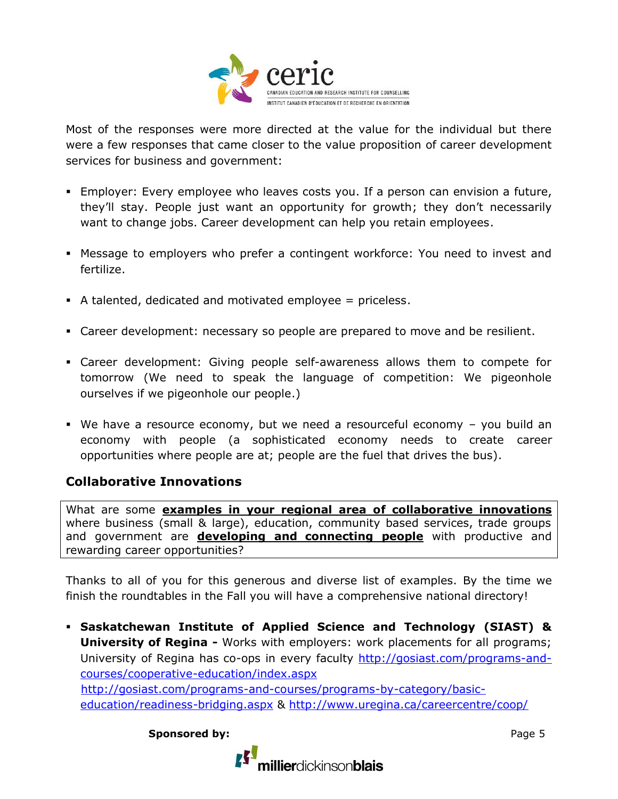

Most of the responses were more directed at the value for the individual but there were a few responses that came closer to the value proposition of career development services for business and government:

- Employer: Every employee who leaves costs you. If a person can envision a future, they'll stay. People just want an opportunity for growth; they don't necessarily want to change jobs. Career development can help you retain employees.
- Message to employers who prefer a contingent workforce: You need to invest and fertilize.
- A talented, dedicated and motivated employee = priceless.
- Career development: necessary so people are prepared to move and be resilient.
- Career development: Giving people self-awareness allows them to compete for tomorrow (We need to speak the language of competition: We pigeonhole ourselves if we pigeonhole our people.)
- We have a resource economy, but we need a resourceful economy you build an economy with people (a sophisticated economy needs to create career opportunities where people are at; people are the fuel that drives the bus).

# **Collaborative Innovations**

What are some **examples in your regional area of collaborative innovations** where business (small & large), education, community based services, trade groups and government are **developing and connecting people** with productive and rewarding career opportunities?

Thanks to all of you for this generous and diverse list of examples. By the time we finish the roundtables in the Fall you will have a comprehensive national directory!

 **Saskatchewan Institute of Applied Science and Technology (SIAST) & University of Regina** - Works with employers: work placements for all programs; University of Regina has co-ops in every faculty [http://gosiast.com/programs-and](http://gosiast.com/programs-and-courses/cooperative-education/index.aspx)[courses/cooperative-education/index.aspx](http://gosiast.com/programs-and-courses/cooperative-education/index.aspx) [http://gosiast.com/programs-and-courses/programs-by-category/basic](http://gosiast.com/programs-and-courses/programs-by-category/basic-%20%20%20%20%20%20%20education/readiness-bridging.aspx)[education/readiness-bridging.aspx](http://gosiast.com/programs-and-courses/programs-by-category/basic-%20%20%20%20%20%20%20education/readiness-bridging.aspx) &<http://www.uregina.ca/careercentre/coop/>

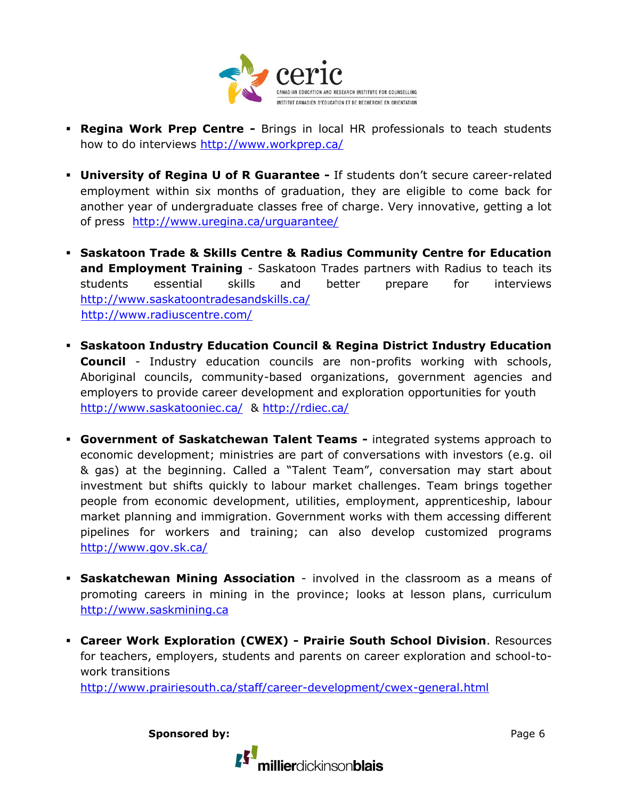

- **Regina Work Prep Centre -** Brings in local HR professionals to teach students how to do interviews<http://www.workprep.ca/>
- **University of Regina U of R Guarantee -** If students don't secure career-related employment within six months of graduation, they are eligible to come back for another year of undergraduate classes free of charge. Very innovative, getting a lot of press <http://www.uregina.ca/urguarantee/>
- **Saskatoon Trade & Skills Centre & Radius Community Centre for Education and Employment Training** - Saskatoon Trades partners with Radius to teach its students essential skills and better prepare for interviews <http://www.saskatoontradesandskills.ca/> <http://www.radiuscentre.com/>
- **Saskatoon Industry Education Council & Regina District Industry Education Council** - Industry education councils are non-profits working with schools, Aboriginal councils, community-based organizations, government agencies and employers to provide career development and exploration opportunities for youth <http://www.saskatooniec.ca/>&<http://rdiec.ca/>
- **Government of Saskatchewan Talent Teams -** integrated systems approach to economic development; ministries are part of conversations with investors (e.g. oil & gas) at the beginning. Called a "Talent Team", conversation may start about investment but shifts quickly to labour market challenges. Team brings together people from economic development, utilities, employment, apprenticeship, labour market planning and immigration. Government works with them accessing different pipelines for workers and training; can also develop customized programs <http://www.gov.sk.ca/>
- **Saskatchewan Mining Association** involved in the classroom as a means of promoting careers in mining in the province; looks at lesson plans, curriculum [http://www.saskmining.ca](http://www.saskmining.ca/)
- **Career Work Exploration (CWEX) - Prairie South School Division**. Resources for teachers, employers, students and parents on career exploration and school-towork transitions

<http://www.prairiesouth.ca/staff/career-development/cwex-general.html>